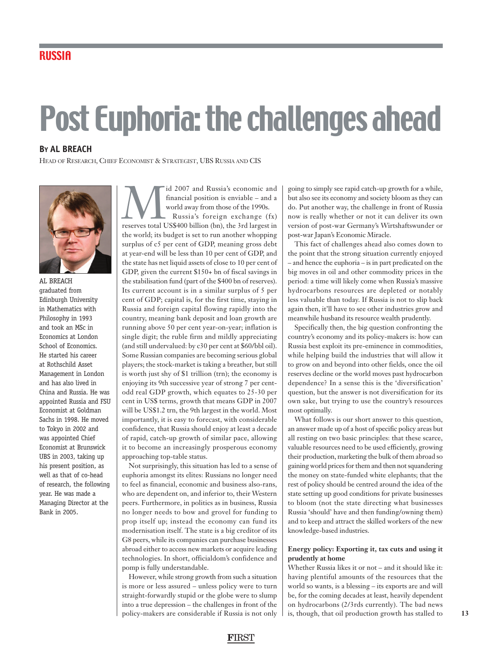# Post Euphoria: the challenges ahead

## **BY AL BREACH**

HEAD OF RESEARCH, CHIEF ECONOMIST & STRATEGIST, UBS RUSSIA AND CIS



AL BREACH graduated from Edinburgh University in Mathematics with Philosophy in 1993 and took an MSc in Economics at London School of Economics. He started his career at Rothschild Asset Management in London and has also lived in China and Russia. He was appointed Russia and FSU Economist at Goldman Sachs in 1998. He moved to Tokyo in 2002 and was appointed Chief Economist at Brunswick UBS in 2003, taking up his present position, as well as that of co-head of research, the following year. He was made a Managing Director at the Bank in 2005.

Mid 2007 and Russia's economic and financial position is enviable – and a world away from those of the 1990s.<br>Russia's foreign exchange (fx) reserves total US\$400 billion (bn), the 3rd largest in financial position is enviable – and a world away from those of the 1990s. Russia's foreign exchange (fx)

the world; its budget is set to run another whopping surplus of c5 per cent of GDP, meaning gross debt at year-end will be less than 10 per cent of GDP, and the state has net liquid assets of close to 10 per cent of GDP, given the current \$150+ bn of fiscal savings in the stabilisation fund (part of the \$400 bn of reserves). Its current account is in a similar surplus of 5 per cent of GDP; capital is, for the first time, staying in Russia and foreign capital flowing rapidly into the country, meaning bank deposit and loan growth are running above 50 per cent year-on-year; inflation is single digit; the ruble firm and mildly appreciating (and still undervalued: by c30 per cent at \$60/bbl oil). Some Russian companies are becoming serious global players; the stock-market is taking a breather, but still is worth just shy of \$1 trillion (trn); the economy is enjoying its 9th successive year of strong 7 per centodd real GDP growth, which equates to 25-30 per cent in US\$ terms, growth that means GDP in 2007 will be US\$1.2 trn, the 9th largest in the world. Most importantly, it is easy to forecast, with considerable confidence, that Russia should enjoy at least a decade of rapid, catch-up growth of similar pace, allowing it to become an increasingly prosperous economy approaching top-table status.

Not surprisingly, this situation has led to a sense of euphoria amongst its elites: Russians no longer need to feel as financial, economic and business also-rans, who are dependent on, and inferior to, their Western peers. Furthermore, in politics as in business, Russia no longer needs to bow and grovel for funding to prop itself up; instead the economy can fund its modernisation itself. The state is a big creditor of its G8 peers, while its companies can purchase businesses abroad either to access new markets or acquire leading technologies. In short, officialdom's confidence and pomp is fully understandable.

However, while strong growth from such a situation is more or less assured – unless policy were to turn straight-forwardly stupid or the globe were to slump into a true depression – the challenges in front of the policy-makers are considerable if Russia is not only going to simply see rapid catch-up growth for a while, but also see its economy and society bloom as they can do. Put another way, the challenge in front of Russia now is really whether or not it can deliver its own version of post-war Germany's Wirtshaftswunder or post-war Japan's Economic Miracle.

This fact of challenges ahead also comes down to the point that the strong situation currently enjoyed – and hence the euphoria – is in part predicated on the big moves in oil and other commodity prices in the period: a time will likely come when Russia's massive hydrocarbons resources are depleted or notably less valuable than today. If Russia is not to slip back again then, it'll have to see other industries grow and meanwhile husband its resource wealth prudently.

Specifically then, the big question confronting the country's economy and its policy-makers is: how can Russia best exploit its pre-eminence in commodities, while helping build the industries that will allow it to grow on and beyond into other fields, once the oil reserves decline or the world moves past hydrocarbon dependence? In a sense this is the 'diversification' question, but the answer is not diversification for its own sake, but trying to use the country's resources most optimally.

What follows is our short answer to this question, an answer made up of a host of specific policy areas but all resting on two basic principles: that these scarce, valuable resources need to be used efficiently, growing their production, marketing the bulk of them abroad so gaining world prices for them and then not squandering the money on state-funded white elephants; that the rest of policy should be centred around the idea of the state setting up good conditions for private businesses to bloom (not the state directing what businesses Russia 'should' have and then funding/owning them) and to keep and attract the skilled workers of the new knowledge-based industries.

#### **Energy policy: Exporting it, tax cuts and using it prudently at home**

Whether Russia likes it or not – and it should like it: having plentiful amounts of the resources that the world so wants, is a blessing – its exports are and will be, for the coming decades at least, heavily dependent on hydrocarbons (2/3rds currently). The bad news is, though, that oil production growth has stalled to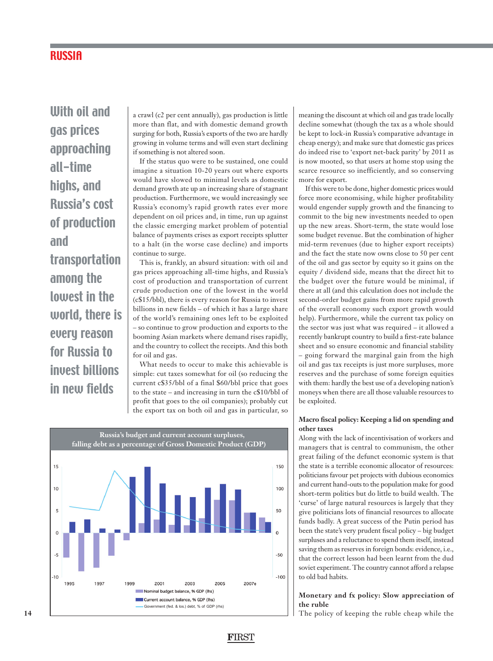# **RUSSIA**

With oil and gas prices approaching all-time highs, and Russia's cost of production and transportation among the lowest in the world, there is every reason for Russia to invest billions in new fields

a crawl (c2 per cent annually), gas production is little more than flat, and with domestic demand growth surging for both, Russia's exports of the two are hardly growing in volume terms and will even start declining if something is not altered soon.

If the status quo were to be sustained, one could imagine a situation 10-20 years out where exports would have slowed to minimal levels as domestic demand growth ate up an increasing share of stagnant production. Furthermore, we would increasingly see Russia's economy's rapid growth rates ever more dependent on oil prices and, in time, run up against the classic emerging market problem of potential balance of payments crises as export receipts splutter to a halt (in the worse case decline) and imports continue to surge.

This is, frankly, an absurd situation: with oil and gas prices approaching all-time highs, and Russia's cost of production and transportation of current crude production one of the lowest in the world (c\$15/bbl), there is every reason for Russia to invest billions in new fields – of which it has a large share of the world's remaining ones left to be exploited – so continue to grow production and exports to the booming Asian markets where demand rises rapidly, and the country to collect the receipts. And this both for oil and gas.

What needs to occur to make this achievable is simple: cut taxes somewhat for oil (so reducing the current c\$35/bbl of a final \$60/bbl price that goes to the state – and increasing in turn the c\$10/bbl of profit that goes to the oil companies); probably cut the export tax on both oil and gas in particular, so

**F**IRST



meaning the discount at which oil and gas trade locally decline somewhat (though the tax as a whole should be kept to lock-in Russia's comparative advantage in cheap energy); and make sure that domestic gas prices do indeed rise to 'export net-back parity' by 2011 as is now mooted, so that users at home stop using the scarce resource so inefficiently, and so conserving more for export.

If this were to be done, higher domestic prices would force more economising, while higher profitability would engender supply growth and the financing to commit to the big new investments needed to open up the new areas. Short-term, the state would lose some budget revenue. But the combination of higher mid-term revenues (due to higher export receipts) and the fact the state now owns close to 50 per cent of the oil and gas sector by equity so it gains on the equity / dividend side, means that the direct hit to the budget over the future would be minimal, if there at all (and this calculation does not include the second-order budget gains from more rapid growth of the overall economy such export growth would help). Furthermore, while the current tax policy on the sector was just what was required – it allowed a recently bankrupt country to build a first-rate balance sheet and so ensure economic and financial stability – going forward the marginal gain from the high oil and gas tax receipts is just more surpluses, more reserves and the purchase of some foreign equities with them: hardly the best use of a developing nation's moneys when there are all those valuable resources to be exploited.

#### **Macro fiscal policy: Keeping a lid on spending and other taxes**

Along with the lack of incentivisation of workers and managers that is central to communism, the other great failing of the defunct economic system is that the state is a terrible economic allocator of resources: politicians favour pet projects with dubious economics and current hand-outs to the population make for good short-term politics but do little to build wealth. The 'curse' of large natural resources is largely that they give politicians lots of financial resources to allocate funds badly. A great success of the Putin period has been the state's very prudent fiscal policy – big budget surpluses and a reluctance to spend them itself, instead saving them as reserves in foreign bonds: evidence, i.e., that the correct lesson had been learnt from the dud soviet experiment. The country cannot afford a relapse to old bad habits.

### **Monetary and fx policy: Slow appreciation of the ruble**

The policy of keeping the ruble cheap while the